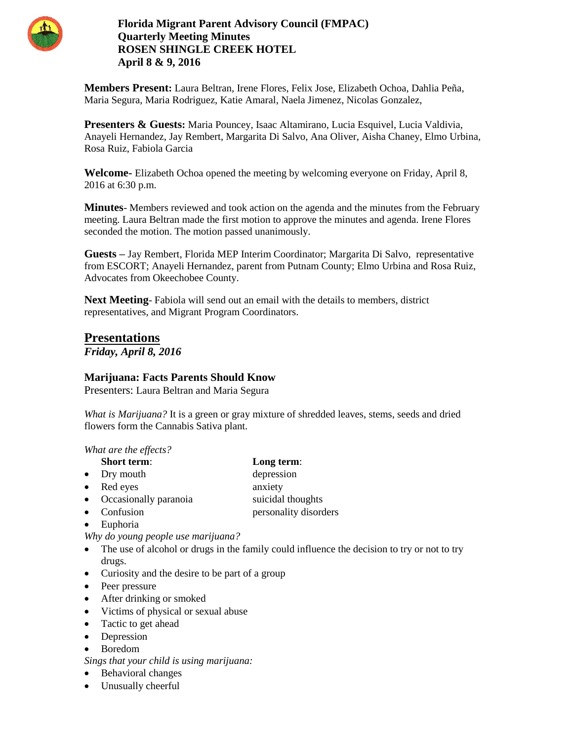

**Florida Migrant Parent Advisory Council (FMPAC) Quarterly Meeting Minutes ROSEN SHINGLE CREEK HOTEL April 8 & 9, 2016**

**Members Present:** Laura Beltran, Irene Flores, Felix Jose, Elizabeth Ochoa, Dahlia Peña, Maria Segura, Maria Rodriguez, Katie Amaral, Naela Jimenez, Nicolas Gonzalez,

**Presenters & Guests:** Maria Pouncey, Isaac Altamirano, Lucia Esquivel, Lucia Valdivia, Anayeli Hernandez, Jay Rembert, Margarita Di Salvo, Ana Oliver, Aisha Chaney, Elmo Urbina, Rosa Ruiz, Fabiola Garcia

**Welcome-** Elizabeth Ochoa opened the meeting by welcoming everyone on Friday, April 8, 2016 at 6:30 p.m.

**Minutes**- Members reviewed and took action on the agenda and the minutes from the February meeting. Laura Beltran made the first motion to approve the minutes and agenda. Irene Flores seconded the motion. The motion passed unanimously.

**Guests –** Jay Rembert, Florida MEP Interim Coordinator; Margarita Di Salvo, representative from ESCORT; Anayeli Hernandez, parent from Putnam County; Elmo Urbina and Rosa Ruiz, Advocates from Okeechobee County.

**Next Meeting**- Fabiola will send out an email with the details to members, district representatives, and Migrant Program Coordinators.

**Presentations** *Friday, April 8, 2016*

# **Marijuana: Facts Parents Should Know**

Presenters: Laura Beltran and Maria Segura

*What is Marijuana?* It is a green or gray mixture of shredded leaves, stems, seeds and dried flowers form the Cannabis Sativa plant.

*What are the effects?*

- **Short term**: **Long term**:
- Dry mouth depression
- Red eyes anxiety
- Occasionally paranoia suicidal thoughts
- Confusion **personality disorders**
- Euphoria

*Why do young people use marijuana?*

- The use of alcohol or drugs in the family could influence the decision to try or not to try drugs.
- Curiosity and the desire to be part of a group
- Peer pressure
- After drinking or smoked
- Victims of physical or sexual abuse
- Tactic to get ahead
- Depression
- Boredom
- *Sings that your child is using marijuana:*
- Behavioral changes
- Unusually cheerful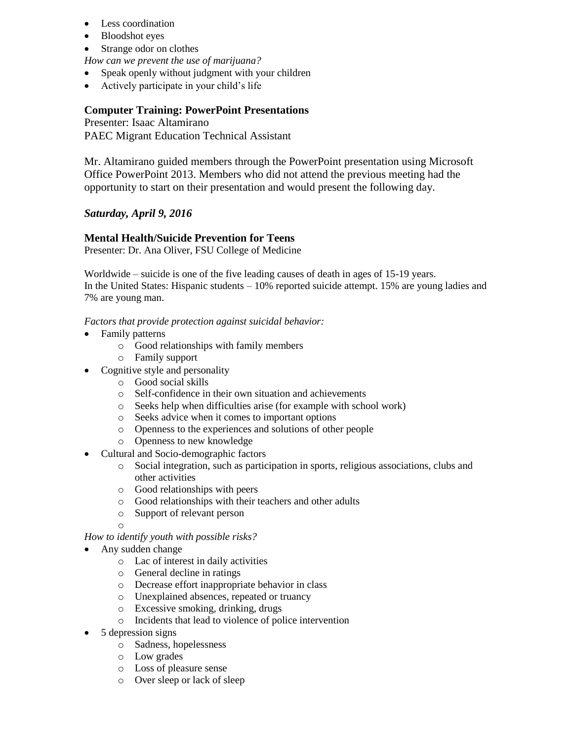- Less coordination
- Bloodshot eyes
- Strange odor on clothes
- *How can we prevent the use of marijuana?*
- Speak openly without judgment with your children
- Actively participate in your child's life

# **Computer Training: PowerPoint Presentations**

Presenter: Isaac Altamirano PAEC Migrant Education Technical Assistant

Mr. Altamirano guided members through the PowerPoint presentation using Microsoft Office PowerPoint 2013. Members who did not attend the previous meeting had the opportunity to start on their presentation and would present the following day.

# *Saturday, April 9, 2016*

# **Mental Health/Suicide Prevention for Teens**

Presenter: Dr. Ana Oliver, FSU College of Medicine

Worldwide – suicide is one of the five leading causes of death in ages of 15-19 years. In the United States: Hispanic students – 10% reported suicide attempt. 15% are young ladies and 7% are young man.

*Factors that provide protection against suicidal behavior:*

- Family patterns
	- o Good relationships with family members
	- o Family support
- Cognitive style and personality
	- o Good social skills
	- o Self-confidence in their own situation and achievements
	- o Seeks help when difficulties arise (for example with school work)
	- o Seeks advice when it comes to important options
	- o Openness to the experiences and solutions of other people
	- o Openness to new knowledge
- Cultural and Socio-demographic factors
	- o Social integration, such as participation in sports, religious associations, clubs and other activities
	- o Good relationships with peers
	- o Good relationships with their teachers and other adults
	- o Support of relevant person

*How to identify youth with possible risks?*

• Any sudden change

o

- o Lac of interest in daily activities
- o General decline in ratings
- o Decrease effort inappropriate behavior in class
- o Unexplained absences, repeated or truancy
- o Excessive smoking, drinking, drugs
- o Incidents that lead to violence of police intervention
- $\bullet$  5 depression signs
	- o Sadness, hopelessness
	- o Low grades
	- o Loss of pleasure sense
	- o Over sleep or lack of sleep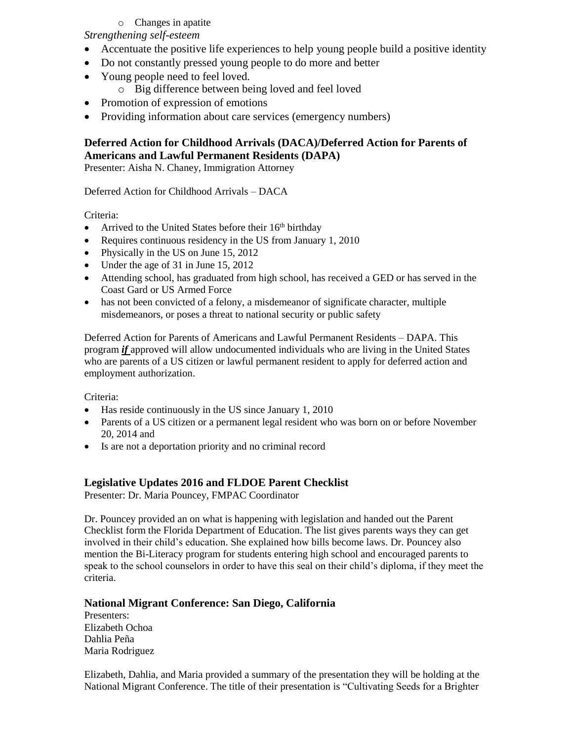# o Changes in apatite

*Strengthening self-esteem*

- Accentuate the positive life experiences to help young people build a positive identity
- Do not constantly pressed young people to do more and better
- Young people need to feel loved.
	- o Big difference between being loved and feel loved
- Promotion of expression of emotions
- Providing information about care services (emergency numbers)

# **Deferred Action for Childhood Arrivals (DACA)/Deferred Action for Parents of Americans and Lawful Permanent Residents (DAPA)**

Presenter: Aisha N. Chaney, Immigration Attorney

Deferred Action for Childhood Arrivals – DACA

## Criteria:

- Arrived to the United States before their  $16<sup>th</sup>$  birthday
- Requires continuous residency in the US from January 1, 2010
- Physically in the US on June 15, 2012
- Under the age of 31 in June 15, 2012
- Attending school, has graduated from high school, has received a GED or has served in the Coast Gard or US Armed Force
- has not been convicted of a felony, a misdemeanor of significate character, multiple misdemeanors, or poses a threat to national security or public safety

Deferred Action for Parents of Americans and Lawful Permanent Residents – DAPA. This program *if* approved will allow undocumented individuals who are living in the United States who are parents of a US citizen or lawful permanent resident to apply for deferred action and employment authorization.

Criteria:

- Has reside continuously in the US since January 1, 2010
- Parents of a US citizen or a permanent legal resident who was born on or before November 20, 2014 and
- Is are not a deportation priority and no criminal record

# **Legislative Updates 2016 and FLDOE Parent Checklist**

Presenter: Dr. Maria Pouncey, FMPAC Coordinator

Dr. Pouncey provided an on what is happening with legislation and handed out the Parent Checklist form the Florida Department of Education. The list gives parents ways they can get involved in their child's education. She explained how bills become laws. Dr. Pouncey also mention the Bi-Literacy program for students entering high school and encouraged parents to speak to the school counselors in order to have this seal on their child's diploma, if they meet the criteria.

# **National Migrant Conference: San Diego, California**

Presenters: Elizabeth Ochoa Dahlia Peña Maria Rodriguez

Elizabeth, Dahlia, and Maria provided a summary of the presentation they will be holding at the National Migrant Conference. The title of their presentation is "Cultivating Seeds for a Brighter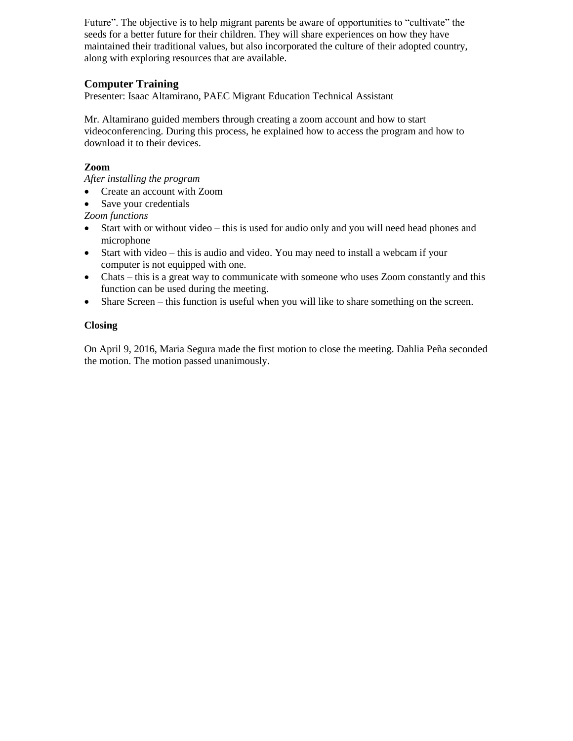Future". The objective is to help migrant parents be aware of opportunities to "cultivate" the seeds for a better future for their children. They will share experiences on how they have maintained their traditional values, but also incorporated the culture of their adopted country, along with exploring resources that are available.

# **Computer Training**

Presenter: Isaac Altamirano, PAEC Migrant Education Technical Assistant

Mr. Altamirano guided members through creating a zoom account and how to start videoconferencing. During this process, he explained how to access the program and how to download it to their devices.

# **Zoom**

*After installing the program* 

- Create an account with Zoom
- Save your credentials

*Zoom functions*

- Start with or without video this is used for audio only and you will need head phones and microphone
- Start with video this is audio and video. You may need to install a webcam if your computer is not equipped with one.
- Chats this is a great way to communicate with someone who uses Zoom constantly and this function can be used during the meeting.
- Share Screen this function is useful when you will like to share something on the screen.

## **Closing**

On April 9, 2016, Maria Segura made the first motion to close the meeting. Dahlia Peña seconded the motion. The motion passed unanimously.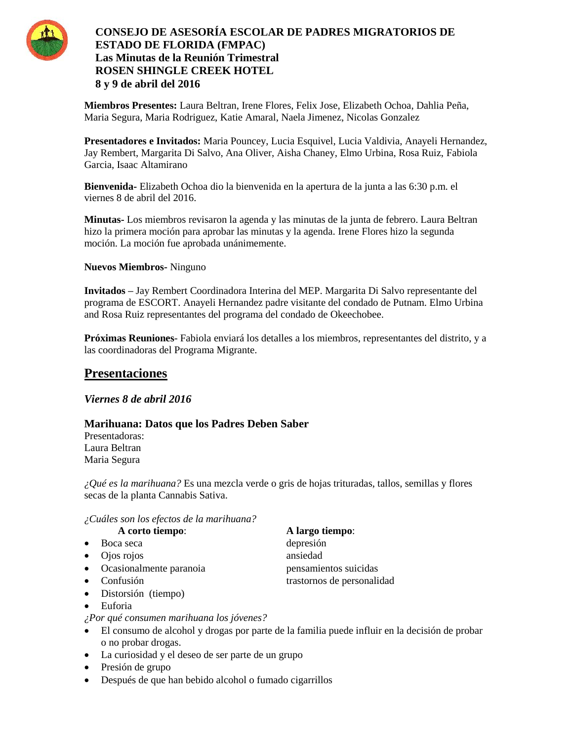

# **CONSEJO DE ASESORÍA ESCOLAR DE PADRES MIGRATORIOS DE ESTADO DE FLORIDA (FMPAC) Las Minutas de la Reunión Trimestral ROSEN SHINGLE CREEK HOTEL 8 y 9 de abril del 2016**

**Miembros Presentes:** Laura Beltran, Irene Flores, Felix Jose, Elizabeth Ochoa, Dahlia Peña, Maria Segura, Maria Rodriguez, Katie Amaral, Naela Jimenez, Nicolas Gonzalez

**Presentadores e Invitados:** Maria Pouncey, Lucia Esquivel, Lucia Valdivia, Anayeli Hernandez, Jay Rembert, Margarita Di Salvo, Ana Oliver, Aisha Chaney, Elmo Urbina, Rosa Ruiz, Fabiola Garcia, Isaac Altamirano

**Bienvenida-** Elizabeth Ochoa dio la bienvenida en la apertura de la junta a las 6:30 p.m. el viernes 8 de abril del 2016.

**Minutas-** Los miembros revisaron la agenda y las minutas de la junta de febrero. Laura Beltran hizo la primera moción para aprobar las minutas y la agenda. Irene Flores hizo la segunda moción. La moción fue aprobada unánimemente.

**Nuevos Miembros-** Ninguno

**Invitados –** Jay Rembert Coordinadora Interina del MEP. Margarita Di Salvo representante del programa de ESCORT. Anayeli Hernandez padre visitante del condado de Putnam. Elmo Urbina and Rosa Ruiz representantes del programa del condado de Okeechobee.

**Próximas Reuniones**- Fabiola enviará los detalles a los miembros, representantes del distrito, y a las coordinadoras del Programa Migrante.

# **Presentaciones**

*Viernes 8 de abril 2016*

# **Marihuana: Datos que los Padres Deben Saber**

Presentadoras: Laura Beltran Maria Segura

*¿Qué es la marihuana?* Es una mezcla verde o gris de hojas trituradas, tallos, semillas y flores secas de la planta Cannabis Sativa.

### *¿Cuáles son los efectos de la marihuana?*

#### **A corto tiempo**: **A largo tiempo**:

- Boca seca depresión
- Ojos rojos ansiedad
- Ocasionalmente paranoia pensamientos suicidas
- 
- Distorsión (tiempo)
- Euforia

*¿Por qué consumen marihuana los jóvenes?*

- El consumo de alcohol y drogas por parte de la familia puede influir en la decisión de probar o no probar drogas.
- La curiosidad y el deseo de ser parte de un grupo
- Presión de grupo
- Después de que han bebido alcohol o fumado cigarrillos

 $\bullet$  Confusión trastornos de personalidad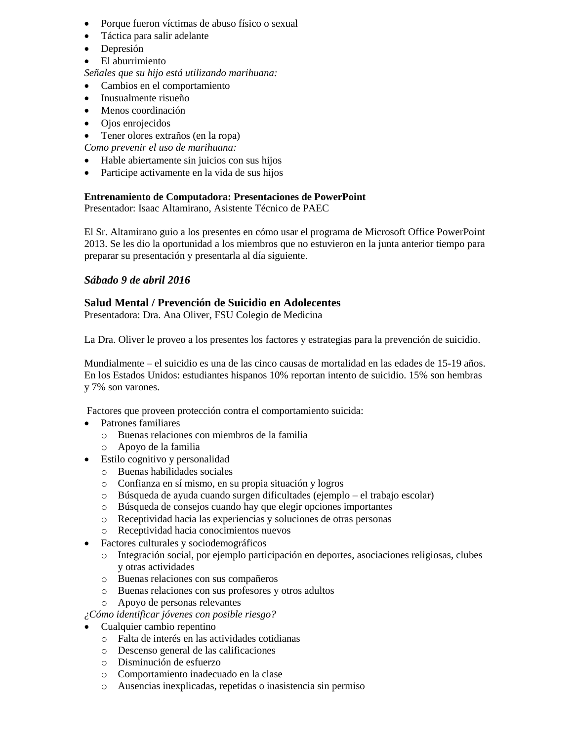- Porque fueron víctimas de abuso físico o sexual
- Táctica para salir adelante
- Depresión
- El aburrimiento
- *Señales que su hijo está utilizando marihuana:*
- Cambios en el comportamiento
- Inusualmente risueño
- Menos coordinación
- Ojos enrojecidos
- Tener olores extraños (en la ropa)

*Como prevenir el uso de marihuana:*

- Hable abiertamente sin juicios con sus hijos
- Participe activamente en la vida de sus hijos

## **Entrenamiento de Computadora: Presentaciones de PowerPoint**

Presentador: Isaac Altamirano, Asistente Técnico de PAEC

El Sr. Altamirano guio a los presentes en cómo usar el programa de Microsoft Office PowerPoint 2013. Se les dio la oportunidad a los miembros que no estuvieron en la junta anterior tiempo para preparar su presentación y presentarla al día siguiente.

# *Sábado 9 de abril 2016*

# **Salud Mental / Prevención de Suicidio en Adolecentes**

Presentadora: Dra. Ana Oliver, FSU Colegio de Medicina

La Dra. Oliver le proveo a los presentes los factores y estrategias para la prevención de suicidio.

Mundialmente – el suicidio es una de las cinco causas de mortalidad en las edades de 15-19 años. En los Estados Unidos: estudiantes hispanos 10% reportan intento de suicidio. 15% son hembras y 7% son varones.

Factores que proveen protección contra el comportamiento suicida:

- Patrones familiares
	- o Buenas relaciones con miembros de la familia
	- o Apoyo de la familia
- Estilo cognitivo y personalidad
	- o Buenas habilidades sociales
	- o Confianza en sí mismo, en su propia situación y logros
	- o Búsqueda de ayuda cuando surgen dificultades (ejemplo el trabajo escolar)
	- o Búsqueda de consejos cuando hay que elegir opciones importantes
	- o Receptividad hacia las experiencias y soluciones de otras personas
	- o Receptividad hacia conocimientos nuevos
- Factores culturales y sociodemográficos
	- o Integración social, por ejemplo participación en deportes, asociaciones religiosas, clubes y otras actividades
	- o Buenas relaciones con sus compañeros
	- o Buenas relaciones con sus profesores y otros adultos
	- o Apoyo de personas relevantes
- *¿Cómo identificar jóvenes con posible riesgo?*
- Cualquier cambio repentino
	- o Falta de interés en las actividades cotidianas
	- o Descenso general de las calificaciones
	- o Disminución de esfuerzo
	- o Comportamiento inadecuado en la clase
	- o Ausencias inexplicadas, repetidas o inasistencia sin permiso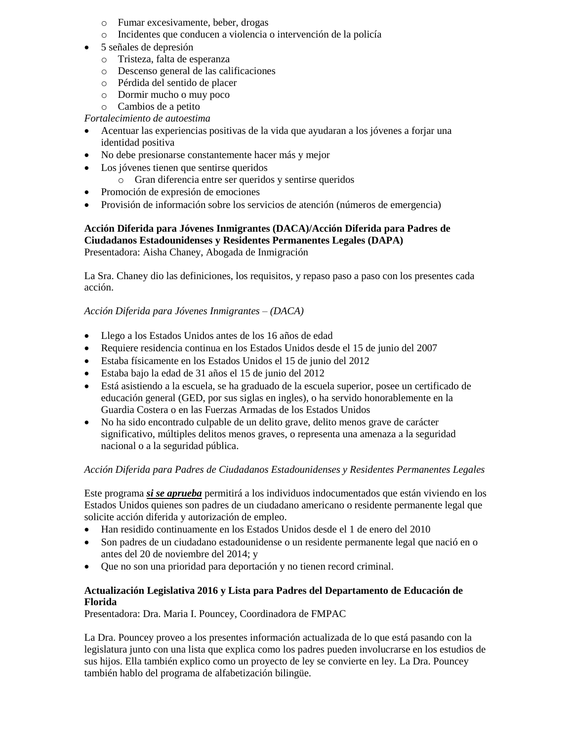- o Fumar excesivamente, beber, drogas
- o Incidentes que conducen a violencia o intervención de la policía
- 5 señales de depresión
	- o Tristeza, falta de esperanza
	- o Descenso general de las calificaciones
	- o Pérdida del sentido de placer
	- o Dormir mucho o muy poco
	- o Cambios de a petito

### *Fortalecimiento de autoestima*

- Acentuar las experiencias positivas de la vida que ayudaran a los jóvenes a forjar una identidad positiva
- No debe presionarse constantemente hacer más y mejor
- Los jóvenes tienen que sentirse queridos
	- o Gran diferencia entre ser queridos y sentirse queridos
- Promoción de expresión de emociones
- Provisión de información sobre los servicios de atención (números de emergencia)

#### **Acción Diferida para Jóvenes Inmigrantes (DACA)/Acción Diferida para Padres de Ciudadanos Estadounidenses y Residentes Permanentes Legales (DAPA)** Presentadora: Aisha Chaney, Abogada de Inmigración

La Sra. Chaney dio las definiciones, los requisitos, y repaso paso a paso con los presentes cada acción.

#### *Acción Diferida para Jóvenes Inmigrantes – (DACA)*

- Llego a los Estados Unidos antes de los 16 años de edad
- Requiere residencia continua en los Estados Unidos desde el 15 de junio del 2007
- Estaba físicamente en los Estados Unidos el 15 de junio del 2012
- Estaba bajo la edad de 31 años el 15 de junio del 2012
- Está asistiendo a la escuela, se ha graduado de la escuela superior, posee un certificado de educación general (GED, por sus siglas en ingles), o ha servido honorablemente en la Guardia Costera o en las Fuerzas Armadas de los Estados Unidos
- No ha sido encontrado culpable de un delito grave, delito menos grave de carácter significativo, múltiples delitos menos graves, o representa una amenaza a la seguridad nacional o a la seguridad pública.

#### *Acción Diferida para Padres de Ciudadanos Estadounidenses y Residentes Permanentes Legales*

Este programa *si se aprueba* permitirá a los individuos indocumentados que están viviendo en los Estados Unidos quienes son padres de un ciudadano americano o residente permanente legal que solicite acción diferida y autorización de empleo.

- Han residido continuamente en los Estados Unidos desde el 1 de enero del 2010
- Son padres de un ciudadano estadounidense o un residente permanente legal que nació en o antes del 20 de noviembre del 2014; y
- Que no son una prioridad para deportación y no tienen record criminal.

## **Actualización Legislativa 2016 y Lista para Padres del Departamento de Educación de Florida**

Presentadora: Dra. Maria I. Pouncey, Coordinadora de FMPAC

La Dra. Pouncey proveo a los presentes información actualizada de lo que está pasando con la legislatura junto con una lista que explica como los padres pueden involucrarse en los estudios de sus hijos. Ella también explico como un proyecto de ley se convierte en ley. La Dra. Pouncey también hablo del programa de alfabetización bilingüe.